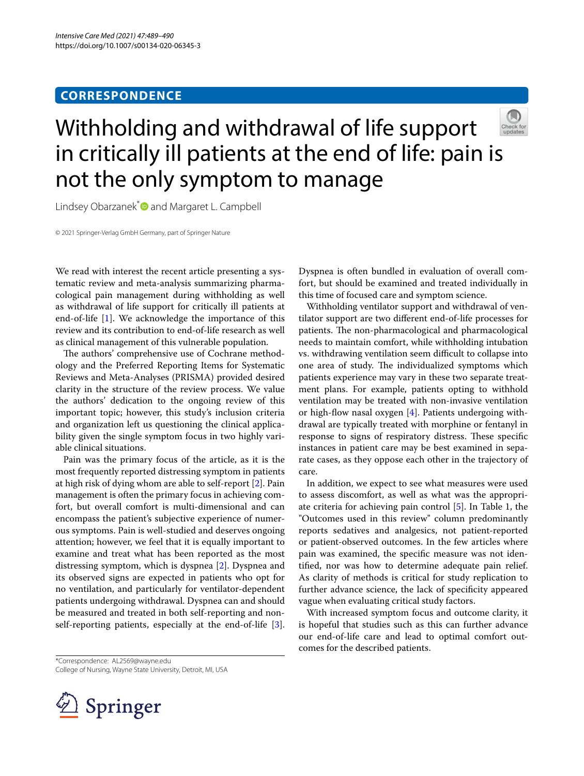# **CORRESPONDENCE**



Lindsey Obarzanek\*<sup>®</sup> and Margaret L. Campbell

© 2021 Springer-Verlag GmbH Germany, part of Springer Nature

We read with interest the recent article presenting a systematic review and meta-analysis summarizing pharmacological pain management during withholding as well as withdrawal of life support for critically ill patients at end-of-life [[1\]](#page-1-0). We acknowledge the importance of this review and its contribution to end-of-life research as well as clinical management of this vulnerable population.

The authors' comprehensive use of Cochrane methodology and the Preferred Reporting Items for Systematic Reviews and Meta-Analyses (PRISMA) provided desired clarity in the structure of the review process. We value the authors' dedication to the ongoing review of this important topic; however, this study's inclusion criteria and organization left us questioning the clinical applicability given the single symptom focus in two highly variable clinical situations.

Pain was the primary focus of the article, as it is the most frequently reported distressing symptom in patients at high risk of dying whom are able to self-report [[2\]](#page-1-1). Pain management is often the primary focus in achieving comfort, but overall comfort is multi-dimensional and can encompass the patient's subjective experience of numerous symptoms. Pain is well-studied and deserves ongoing attention; however, we feel that it is equally important to examine and treat what has been reported as the most distressing symptom, which is dyspnea [[2](#page-1-1)]. Dyspnea and its observed signs are expected in patients who opt for no ventilation, and particularly for ventilator-dependent patients undergoing withdrawal. Dyspnea can and should be measured and treated in both self-reporting and nonself-reporting patients, especially at the end-of-life [\[3](#page-1-2)].

Dyspnea is often bundled in evaluation of overall comfort, but should be examined and treated individually in this time of focused care and symptom science.

Withholding ventilator support and withdrawal of ventilator support are two diferent end-of-life processes for patients. The non-pharmacological and pharmacological needs to maintain comfort, while withholding intubation vs. withdrawing ventilation seem difficult to collapse into one area of study. The individualized symptoms which patients experience may vary in these two separate treatment plans. For example, patients opting to withhold ventilation may be treated with non-invasive ventilation or high-fow nasal oxygen [[4\]](#page-1-3). Patients undergoing withdrawal are typically treated with morphine or fentanyl in response to signs of respiratory distress. These specific instances in patient care may be best examined in separate cases, as they oppose each other in the trajectory of care.

In addition, we expect to see what measures were used to assess discomfort, as well as what was the appropriate criteria for achieving pain control [\[5](#page-1-4)]. In Table 1, the "Outcomes used in this review" column predominantly reports sedatives and analgesics, not patient-reported or patient-observed outcomes. In the few articles where pain was examined, the specifc measure was not identifed, nor was how to determine adequate pain relief. As clarity of methods is critical for study replication to further advance science, the lack of specifcity appeared vague when evaluating critical study factors.

With increased symptom focus and outcome clarity, it is hopeful that studies such as this can further advance our end-of-life care and lead to optimal comfort outcomes for the described patients.

\*Correspondence: AL2569@wayne.edu College of Nursing, Wayne State University, Detroit, MI, USA